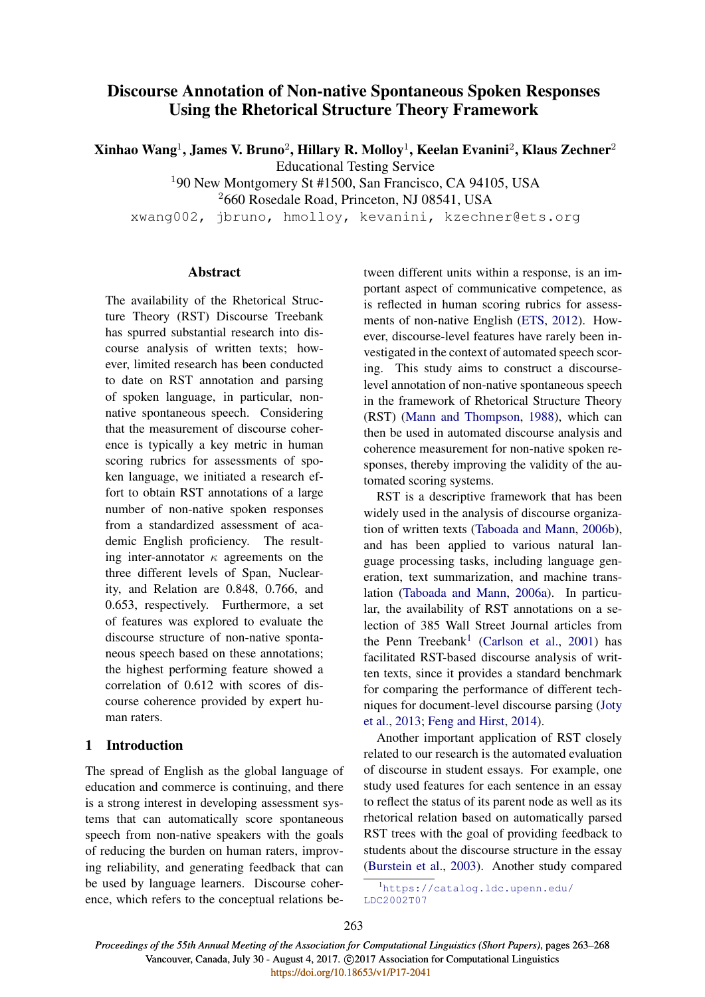# Discourse Annotation of Non-native Spontaneous Spoken Responses Using the Rhetorical Structure Theory Framework

Xinhao Wang $^1$ , James V. Bruno $^2$ , Hillary R. Molloy $^1$ , Keelan Evanini $^2$ , Klaus Zechner $^2$ 

Educational Testing Service

<sup>1</sup>90 New Montgomery St #1500, San Francisco, CA 94105, USA

<sup>2</sup>660 Rosedale Road, Princeton, NJ 08541, USA

xwang002, jbruno, hmolloy, kevanini, kzechner@ets.org

### **Abstract**

The availability of the Rhetorical Structure Theory (RST) Discourse Treebank has spurred substantial research into discourse analysis of written texts; however, limited research has been conducted to date on RST annotation and parsing of spoken language, in particular, nonnative spontaneous speech. Considering that the measurement of discourse coherence is typically a key metric in human scoring rubrics for assessments of spoken language, we initiated a research effort to obtain RST annotations of a large number of non-native spoken responses from a standardized assessment of academic English proficiency. The resulting inter-annotator  $\kappa$  agreements on the three different levels of Span, Nuclearity, and Relation are 0.848, 0.766, and 0.653, respectively. Furthermore, a set of features was explored to evaluate the discourse structure of non-native spontaneous speech based on these annotations; the highest performing feature showed a correlation of 0.612 with scores of discourse coherence provided by expert human raters.

# 1 Introduction

The spread of English as the global language of education and commerce is continuing, and there is a strong interest in developing assessment systems that can automatically score spontaneous speech from non-native speakers with the goals of reducing the burden on human raters, improving reliability, and generating feedback that can be used by language learners. Discourse coherence, which refers to the conceptual relations between different units within a response, is an important aspect of communicative competence, as is reflected in human scoring rubrics for assessments of non-native English (ETS, 2012). However, discourse-level features have rarely been investigated in the context of automated speech scoring. This study aims to construct a discourselevel annotation of non-native spontaneous speech in the framework of Rhetorical Structure Theory (RST) (Mann and Thompson, 1988), which can then be used in automated discourse analysis and coherence measurement for non-native spoken responses, thereby improving the validity of the automated scoring systems.

RST is a descriptive framework that has been widely used in the analysis of discourse organization of written texts (Taboada and Mann, 2006b), and has been applied to various natural language processing tasks, including language generation, text summarization, and machine translation (Taboada and Mann, 2006a). In particular, the availability of RST annotations on a selection of 385 Wall Street Journal articles from the Penn Treebank<sup>1</sup> (Carlson et al., 2001) has facilitated RST-based discourse analysis of written texts, since it provides a standard benchmark for comparing the performance of different techniques for document-level discourse parsing (Joty et al., 2013; Feng and Hirst, 2014).

Another important application of RST closely related to our research is the automated evaluation of discourse in student essays. For example, one study used features for each sentence in an essay to reflect the status of its parent node as well as its rhetorical relation based on automatically parsed RST trees with the goal of providing feedback to students about the discourse structure in the essay (Burstein et al., 2003). Another study compared

<sup>1</sup>https://catalog.ldc.upenn.edu/ LDC2002T07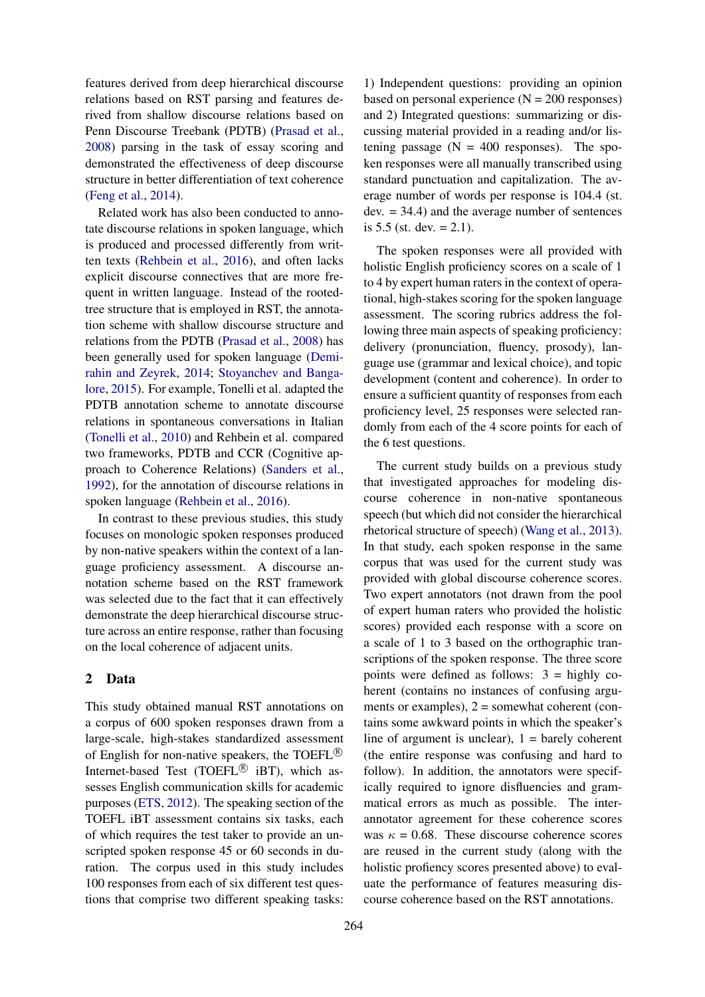features derived from deep hierarchical discourse relations based on RST parsing and features derived from shallow discourse relations based on Penn Discourse Treebank (PDTB) (Prasad et al., 2008) parsing in the task of essay scoring and demonstrated the effectiveness of deep discourse structure in better differentiation of text coherence (Feng et al., 2014).

Related work has also been conducted to annotate discourse relations in spoken language, which is produced and processed differently from written texts (Rehbein et al., 2016), and often lacks explicit discourse connectives that are more frequent in written language. Instead of the rootedtree structure that is employed in RST, the annotation scheme with shallow discourse structure and relations from the PDTB (Prasad et al., 2008) has been generally used for spoken language (Demirahin and Zeyrek, 2014; Stoyanchev and Bangalore, 2015). For example, Tonelli et al. adapted the PDTB annotation scheme to annotate discourse relations in spontaneous conversations in Italian (Tonelli et al., 2010) and Rehbein et al. compared two frameworks, PDTB and CCR (Cognitive approach to Coherence Relations) (Sanders et al., 1992), for the annotation of discourse relations in spoken language (Rehbein et al., 2016).

In contrast to these previous studies, this study focuses on monologic spoken responses produced by non-native speakers within the context of a language proficiency assessment. A discourse annotation scheme based on the RST framework was selected due to the fact that it can effectively demonstrate the deep hierarchical discourse structure across an entire response, rather than focusing on the local coherence of adjacent units.

# 2 Data

This study obtained manual RST annotations on a corpus of 600 spoken responses drawn from a large-scale, high-stakes standardized assessment of English for non-native speakers, the TOEFL<sup>®</sup> Internet-based Test (TOEFL $\overset{\text{\tiny{(B)}}}{=}$  iBT), which assesses English communication skills for academic purposes (ETS, 2012). The speaking section of the TOEFL iBT assessment contains six tasks, each of which requires the test taker to provide an unscripted spoken response 45 or 60 seconds in duration. The corpus used in this study includes 100 responses from each of six different test questions that comprise two different speaking tasks:

1) Independent questions: providing an opinion based on personal experience  $(N = 200$  responses) and 2) Integrated questions: summarizing or discussing material provided in a reading and/or listening passage  $(N = 400$  responses). The spoken responses were all manually transcribed using standard punctuation and capitalization. The average number of words per response is 104.4 (st.  $dev. = 34.4$ ) and the average number of sentences is  $5.5$  (st. dev.  $= 2.1$ ).

The spoken responses were all provided with holistic English proficiency scores on a scale of 1 to 4 by expert human raters in the context of operational, high-stakes scoring for the spoken language assessment. The scoring rubrics address the following three main aspects of speaking proficiency: delivery (pronunciation, fluency, prosody), language use (grammar and lexical choice), and topic development (content and coherence). In order to ensure a sufficient quantity of responses from each proficiency level, 25 responses were selected randomly from each of the 4 score points for each of the 6 test questions.

The current study builds on a previous study that investigated approaches for modeling discourse coherence in non-native spontaneous speech (but which did not consider the hierarchical rhetorical structure of speech) (Wang et al., 2013). In that study, each spoken response in the same corpus that was used for the current study was provided with global discourse coherence scores. Two expert annotators (not drawn from the pool of expert human raters who provided the holistic scores) provided each response with a score on a scale of 1 to 3 based on the orthographic transcriptions of the spoken response. The three score points were defined as follows: 3 = highly coherent (contains no instances of confusing arguments or examples),  $2 =$  somewhat coherent (contains some awkward points in which the speaker's line of argument is unclear),  $1 =$  barely coherent (the entire response was confusing and hard to follow). In addition, the annotators were specifically required to ignore disfluencies and grammatical errors as much as possible. The interannotator agreement for these coherence scores was  $\kappa = 0.68$ . These discourse coherence scores are reused in the current study (along with the holistic profiency scores presented above) to evaluate the performance of features measuring discourse coherence based on the RST annotations.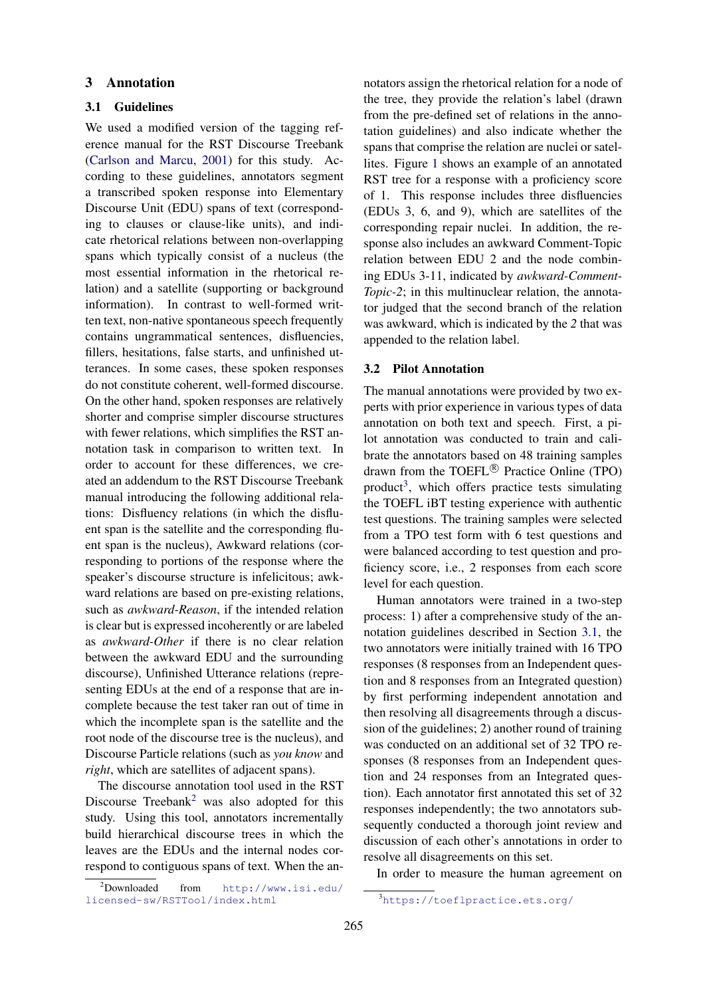#### 3 Annotation

#### 3.1 Guidelines

We used a modified version of the tagging reference manual for the RST Discourse Treebank (Carlson and Marcu, 2001) for this study. According to these guidelines, annotators segment a transcribed spoken response into Elementary Discourse Unit (EDU) spans of text (corresponding to clauses or clause-like units), and indicate rhetorical relations between non-overlapping spans which typically consist of a nucleus (the most essential information in the rhetorical relation) and a satellite (supporting or background information). In contrast to well-formed written text, non-native spontaneous speech frequently contains ungrammatical sentences, disfluencies, fillers, hesitations, false starts, and unfinished utterances. In some cases, these spoken responses do not constitute coherent, well-formed discourse. On the other hand, spoken responses are relatively shorter and comprise simpler discourse structures with fewer relations, which simplifies the RST annotation task in comparison to written text. In order to account for these differences, we created an addendum to the RST Discourse Treebank manual introducing the following additional relations: Disfluency relations (in which the disfluent span is the satellite and the corresponding fluent span is the nucleus), Awkward relations (corresponding to portions of the response where the speaker's discourse structure is infelicitous; awkward relations are based on pre-existing relations, such as *awkward-Reason*, if the intended relation is clear but is expressed incoherently or are labeled as *awkward-Other* if there is no clear relation between the awkward EDU and the surrounding discourse), Unfinished Utterance relations (representing EDUs at the end of a response that are incomplete because the test taker ran out of time in which the incomplete span is the satellite and the root node of the discourse tree is the nucleus), and Discourse Particle relations (such as *you know* and *right*, which are satellites of adjacent spans).

The discourse annotation tool used in the RST Discourse Treebank<sup>2</sup> was also adopted for this study. Using this tool, annotators incrementally build hierarchical discourse trees in which the leaves are the EDUs and the internal nodes correspond to contiguous spans of text. When the an-

<sup>2</sup>Downloaded from http://www.isi.edu/ licensed-sw/RSTTool/index.html

notators assign the rhetorical relation for a node of the tree, they provide the relation's label (drawn from the pre-defined set of relations in the annotation guidelines) and also indicate whether the spans that comprise the relation are nuclei or satellites. Figure 1 shows an example of an annotated RST tree for a response with a proficiency score of 1. This response includes three disfluencies (EDUs 3, 6, and 9), which are satellites of the corresponding repair nuclei. In addition, the response also includes an awkward Comment-Topic relation between EDU 2 and the node combining EDUs 3-11, indicated by *awkward-Comment-Topic-2*; in this multinuclear relation, the annotator judged that the second branch of the relation was awkward, which is indicated by the *2* that was appended to the relation label.

#### 3.2 Pilot Annotation

The manual annotations were provided by two experts with prior experience in various types of data annotation on both text and speech. First, a pilot annotation was conducted to train and calibrate the annotators based on 48 training samples drawn from the TOEFL $\mathcal{B}$  Practice Online (TPO) product<sup>3</sup>, which offers practice tests simulating the TOEFL iBT testing experience with authentic test questions. The training samples were selected from a TPO test form with 6 test questions and were balanced according to test question and proficiency score, i.e., 2 responses from each score level for each question.

Human annotators were trained in a two-step process: 1) after a comprehensive study of the annotation guidelines described in Section 3.1, the two annotators were initially trained with 16 TPO responses (8 responses from an Independent question and 8 responses from an Integrated question) by first performing independent annotation and then resolving all disagreements through a discussion of the guidelines; 2) another round of training was conducted on an additional set of 32 TPO responses (8 responses from an Independent question and 24 responses from an Integrated question). Each annotator first annotated this set of 32 responses independently; the two annotators subsequently conducted a thorough joint review and discussion of each other's annotations in order to resolve all disagreements on this set.

In order to measure the human agreement on

<sup>3</sup>https://toeflpractice.ets.org/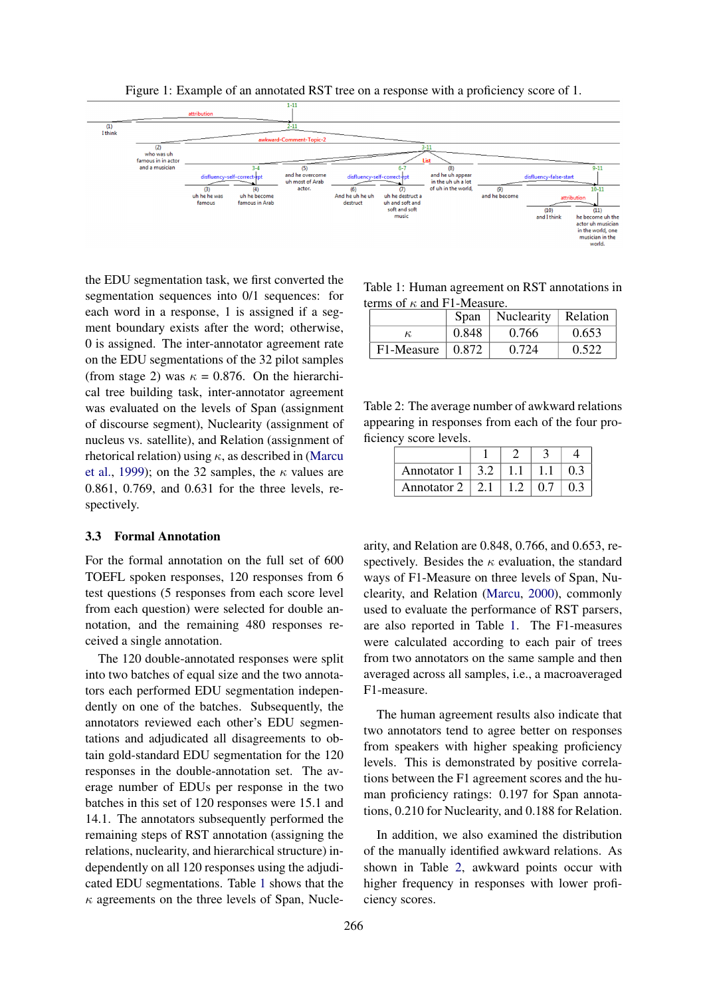

Figure 1: Example of an annotated RST tree on a response with a proficiency score of 1.

the EDU segmentation task, we first converted the segmentation sequences into 0/1 sequences: for each word in a response, 1 is assigned if a segment boundary exists after the word; otherwise, 0 is assigned. The inter-annotator agreement rate on the EDU segmentations of the 32 pilot samples (from stage 2) was  $\kappa = 0.876$ . On the hierarchical tree building task, inter-annotator agreement was evaluated on the levels of Span (assignment of discourse segment), Nuclearity (assignment of nucleus vs. satellite), and Relation (assignment of rhetorical relation) using  $\kappa$ , as described in (Marcu et al., 1999); on the 32 samples, the  $\kappa$  values are 0.861, 0.769, and 0.631 for the three levels, respectively.

# 3.3 Formal Annotation

For the formal annotation on the full set of 600 TOEFL spoken responses, 120 responses from 6 test questions (5 responses from each score level from each question) were selected for double annotation, and the remaining 480 responses received a single annotation.

The 120 double-annotated responses were split into two batches of equal size and the two annotators each performed EDU segmentation independently on one of the batches. Subsequently, the annotators reviewed each other's EDU segmentations and adjudicated all disagreements to obtain gold-standard EDU segmentation for the 120 responses in the double-annotation set. The average number of EDUs per response in the two batches in this set of 120 responses were 15.1 and 14.1. The annotators subsequently performed the remaining steps of RST annotation (assigning the relations, nuclearity, and hierarchical structure) independently on all 120 responses using the adjudicated EDU segmentations. Table 1 shows that the  $\kappa$  agreements on the three levels of Span, Nucle-

Table 1: Human agreement on RST annotations in terms of  $\kappa$  and F1-Measure.

|            | Span  | Nuclearity | Relation |  |
|------------|-------|------------|----------|--|
| К,         | 0.848 | 0.766      | 0.653    |  |
| F1-Measure | 0.872 | 0.724      | 0.522    |  |

Table 2: The average number of awkward relations appearing in responses from each of the four proficiency score levels.

| Annotator 1 |  |  |
|-------------|--|--|
| Annotator 2 |  |  |

arity, and Relation are 0.848, 0.766, and 0.653, respectively. Besides the  $\kappa$  evaluation, the standard ways of F1-Measure on three levels of Span, Nuclearity, and Relation (Marcu, 2000), commonly used to evaluate the performance of RST parsers, are also reported in Table 1. The F1-measures were calculated according to each pair of trees from two annotators on the same sample and then averaged across all samples, i.e., a macroaveraged F1-measure.

The human agreement results also indicate that two annotators tend to agree better on responses from speakers with higher speaking proficiency levels. This is demonstrated by positive correlations between the F1 agreement scores and the human proficiency ratings: 0.197 for Span annotations, 0.210 for Nuclearity, and 0.188 for Relation.

In addition, we also examined the distribution of the manually identified awkward relations. As shown in Table 2, awkward points occur with higher frequency in responses with lower proficiency scores.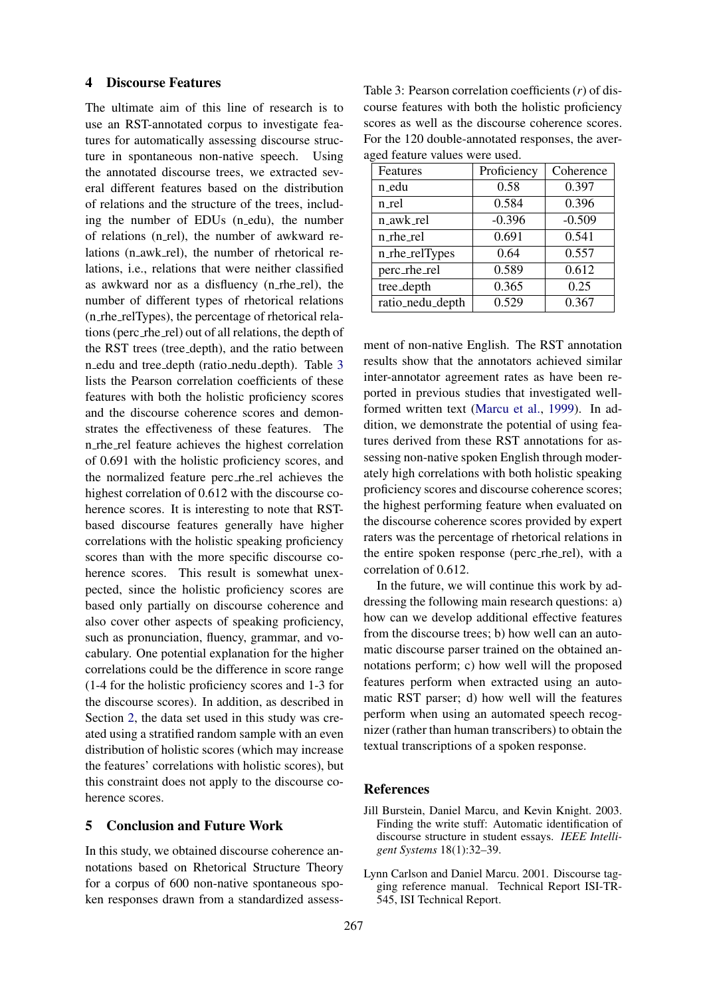#### 4 Discourse Features

The ultimate aim of this line of research is to use an RST-annotated corpus to investigate features for automatically assessing discourse structure in spontaneous non-native speech. Using the annotated discourse trees, we extracted several different features based on the distribution of relations and the structure of the trees, including the number of EDUs (n edu), the number of relations (n rel), the number of awkward relations (n\_awk\_rel), the number of rhetorical relations, i.e., relations that were neither classified as awkward nor as a disfluency (n rhe rel), the number of different types of rhetorical relations (n rhe relTypes), the percentage of rhetorical relations (perc rhe rel) out of all relations, the depth of the RST trees (tree depth), and the ratio between n edu and tree depth (ratio nedu depth). Table 3 lists the Pearson correlation coefficients of these features with both the holistic proficiency scores and the discourse coherence scores and demonstrates the effectiveness of these features. The n rhe rel feature achieves the highest correlation of 0.691 with the holistic proficiency scores, and the normalized feature perc rhe rel achieves the highest correlation of 0.612 with the discourse coherence scores. It is interesting to note that RSTbased discourse features generally have higher correlations with the holistic speaking proficiency scores than with the more specific discourse coherence scores. This result is somewhat unexpected, since the holistic proficiency scores are based only partially on discourse coherence and also cover other aspects of speaking proficiency, such as pronunciation, fluency, grammar, and vocabulary. One potential explanation for the higher correlations could be the difference in score range (1-4 for the holistic proficiency scores and 1-3 for the discourse scores). In addition, as described in Section 2, the data set used in this study was created using a stratified random sample with an even distribution of holistic scores (which may increase the features' correlations with holistic scores), but this constraint does not apply to the discourse coherence scores.

# 5 Conclusion and Future Work

In this study, we obtained discourse coherence annotations based on Rhetorical Structure Theory for a corpus of 600 non-native spontaneous spoken responses drawn from a standardized assess-

Table 3: Pearson correlation coefficients (*r*) of discourse features with both the holistic proficiency scores as well as the discourse coherence scores. For the 120 double-annotated responses, the averaged feature values were used.

| Features         | Proficiency | Coherence |  |  |  |  |
|------------------|-------------|-----------|--|--|--|--|
| n_edu            | 0.58        | 0.397     |  |  |  |  |
| n_rel            | 0.584       | 0.396     |  |  |  |  |
| n_awk_rel        | $-0.396$    | $-0.509$  |  |  |  |  |
| n_rhe_rel        | 0.691       | 0.541     |  |  |  |  |
| n_rhe_relTypes   | 0.64        | 0.557     |  |  |  |  |
| perc_rhe_rel     | 0.589       | 0.612     |  |  |  |  |
| tree_depth       | 0.365       | 0.25      |  |  |  |  |
| ratio_nedu_depth | 0.529       | 0.367     |  |  |  |  |
|                  |             |           |  |  |  |  |

ment of non-native English. The RST annotation results show that the annotators achieved similar inter-annotator agreement rates as have been reported in previous studies that investigated wellformed written text (Marcu et al., 1999). In addition, we demonstrate the potential of using features derived from these RST annotations for assessing non-native spoken English through moderately high correlations with both holistic speaking proficiency scores and discourse coherence scores; the highest performing feature when evaluated on the discourse coherence scores provided by expert raters was the percentage of rhetorical relations in the entire spoken response (perc rhe rel), with a correlation of 0.612.

In the future, we will continue this work by addressing the following main research questions: a) how can we develop additional effective features from the discourse trees; b) how well can an automatic discourse parser trained on the obtained annotations perform; c) how well will the proposed features perform when extracted using an automatic RST parser; d) how well will the features perform when using an automated speech recognizer (rather than human transcribers) to obtain the textual transcriptions of a spoken response.

#### **References**

- Jill Burstein, Daniel Marcu, and Kevin Knight. 2003. Finding the write stuff: Automatic identification of discourse structure in student essays. *IEEE Intelligent Systems* 18(1):32–39.
- Lynn Carlson and Daniel Marcu. 2001. Discourse tagging reference manual. Technical Report ISI-TR-545, ISI Technical Report.